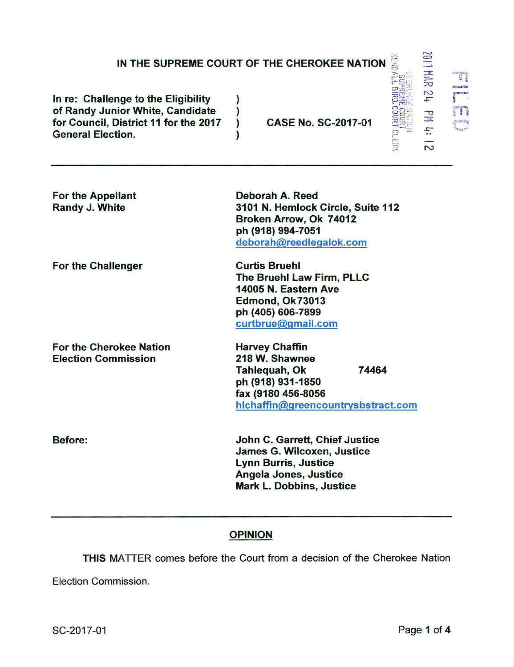## IN THE SUPREME COURT OF THE CHEROKEE NATION

Deborah A. Reed

ph (918) 994-7051

**Curtis Bruehl** 

)

 $\mathbf{I}$ 

In re: Challenge to the Eligibility of Randy Junior White, Candidate for Council. District 11 for the 2017 **General Election.** 

**CASE No. SC-2017-01** 

3101 N. Hemlock Circle, Suite 112

Broken Arrow, Ok 74012

deborah@reedlegalok.com

For the Appellant Randy J. White

For the Challenger

For the Cherokee Nation **Election Commission** 

The Bruehl Law Firm, PLLC 14005 N. Eastern Ave Edmond, Ok73013 ph (405) 606-7899 curtbrue@gmail.com

**Harvey Chaffin** 218 W. Shawnee Tahlequah, Ok 74464 ph (918) 931-1850 fax (9180 456-8056 hichaffin@greencountrysbstract.com

John C. Garrett, Chief Justice **James G. Wilcoxen, Justice Lynn Burris, Justice** Angela Jones, Justice **Mark L. Dobbins, Justice** 

## **OPINION**

THIS MATTER comes before the Court from a decision of the Cherokee Nation

Election Commission.

Before:

 $\frac{1}{2}$ 

E,

 $\overline{\mathbf{S}}$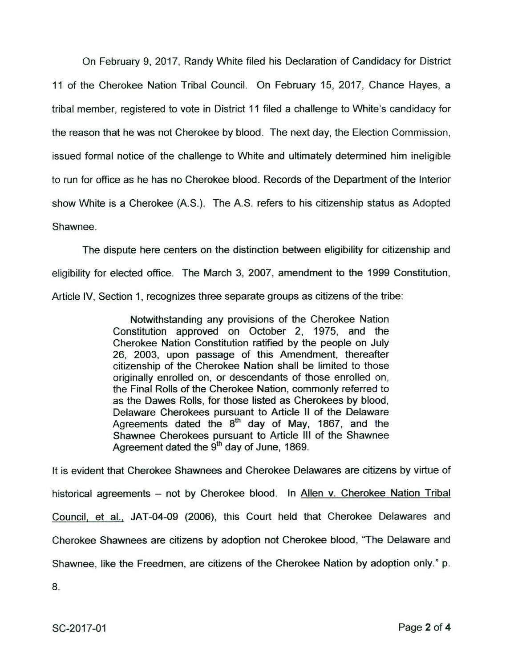On February 9, 2017, Randy White filed his Declaration of Candidacy for District 11 of the Cherokee Nation Tribal Council. On February 15, 2017, Chance Hayes, a tribal member, registered to vote in District 11 filed a challenge to White's candidacy for the reason that he was not Cherokee by blood. The next day, the Election Commission, issued formal notice of the challenge to White and ultimately determined him ineligible to run for office as he has no Cherokee blood. Records of the Department of the Interior show White is a Cherokee (AS.). The A.S. refers to his citizenship status as Adopted Shawnee.

The dispute here centers on the distinction between eligibility for citizenship and eligibility for elected office. The March 3, 2007, amendment to the 1999 Constitution, Article IV, Section 1, recognizes three separate groups as citizens of the tribe:

> Notwithstanding any provisions of the Cherokee Nation Constitution approved on October 2, 1975, and the Cherokee Nation Constitution ratified by the people on July 26, 2003, upon passage of this Amendment, thereafter citizenship of the Cherokee Nation shall be limited to those originally enrolled on, or descendants of those enrolled on, the Final Rolls of the Cherokee Nation, commonly referred to as the Dawes Rolls, for those listed as Cherokees by blood, Delaware Cherokees pursuant to Article II of the Delaware Agreements dated the 8<sup>th</sup> day of May, 1867, and the Shawnee Cherokees pursuant to Article Ill of the Shawnee Agreement dated the 9<sup>th</sup> day of June, 1869.

It is evident that Cherokee Shawnees and Cherokee Delawares are citizens by virtue of historical agreements - not by Cherokee blood. In Allen v. Cherokee Nation Tribal Council, et al., JAT-04-09 (2006), this Court held that Cherokee Delawares and Cherokee Shawnees are citizens by adoption not Cherokee blood, "The Delaware and Shawnee, like the Freedmen, are citizens of the Cherokee Nation by adoption only." p.

8.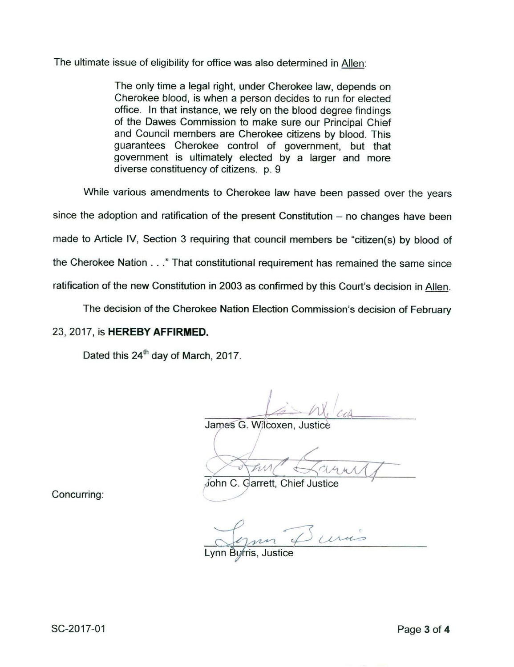The ultimate issue of eligibility for office was also determined in Allen:

The only time a legal right, under Cherokee law, depends on Cherokee blood, is when a person decides to run for elected office. In that instance, we rely on the blood degree findings of the Dawes Commission to make sure our Principal Chief and Council members are Cherokee citizens by blood. This guarantees Cherokee control of government, but that government is ultimately elected by a larger and more diverse constituency of citizens. p. 9

While various amendments to Cherokee law have been passed over the years since the adoption and ratification of the present Constitution  $-$  no changes have been made to Article IV, Section 3 requiring that council members be "citizen(s) by blood of the Cherokee Nation ... " That constitutional requirement has remained the same since ratification of the new Constitution in 2003 as confirmed by this Court's decision in Allen.

The decision of the Cherokee Nation Election Commission's decision of February

## 23, 2017, is **HEREBY AFFIRMED.**

Dated this 24<sup>th</sup> day of March, 2017.

James G. Wilcoxen, Justice

John C. Garrett, Chief Justice

Concurring:

Lynn Duris